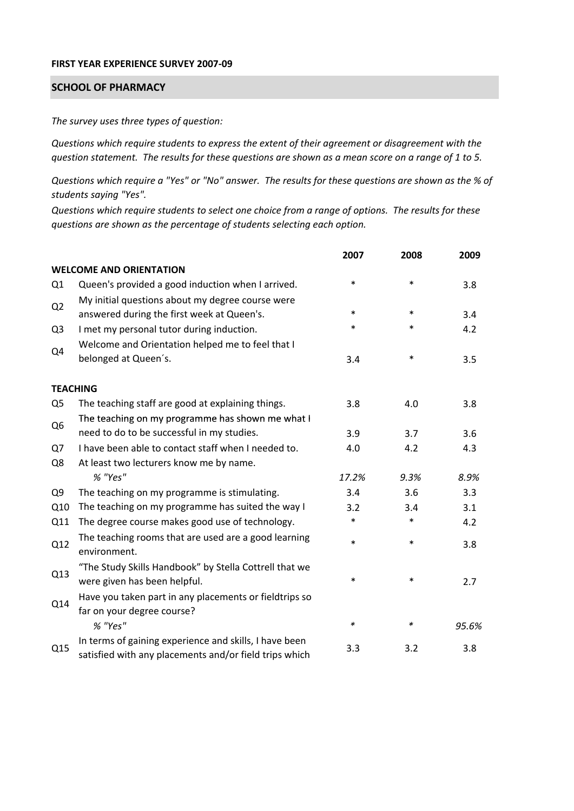## **FIRST YEAR EXPERIENCE SURVEY 2007‐09**

## **SCHOOL OF PHARMACY**

*The survey uses three types of question:*

*Questions which require students to express the extent of their agreement or disagreement with the* question statement. The results for these questions are shown as a mean score on a range of 1 to 5.

Questions which require a "Yes" or "No" answer. The results for these questions are shown as the % of *students saying "Yes".*

Questions which require students to select one choice from a range of options. The results for these *questions are shown as the percentage of students selecting each option.*

|                |                                                                                                                  | 2007   | 2008   | 2009  |
|----------------|------------------------------------------------------------------------------------------------------------------|--------|--------|-------|
|                | <b>WELCOME AND ORIENTATION</b>                                                                                   |        |        |       |
| Q1             | Queen's provided a good induction when I arrived.                                                                | $\ast$ | $\ast$ | 3.8   |
| Q <sub>2</sub> | My initial questions about my degree course were<br>answered during the first week at Queen's.                   | $\ast$ | $\ast$ | 3.4   |
| Q <sub>3</sub> | I met my personal tutor during induction.                                                                        | $\ast$ | $\ast$ | 4.2   |
| Q4             | Welcome and Orientation helped me to feel that I<br>belonged at Queen's.                                         | 3.4    | $\ast$ | 3.5   |
|                | <b>TEACHING</b>                                                                                                  |        |        |       |
| Q <sub>5</sub> | The teaching staff are good at explaining things.                                                                | 3.8    | 4.0    | 3.8   |
|                | The teaching on my programme has shown me what I                                                                 |        |        |       |
| Q <sub>6</sub> | need to do to be successful in my studies.                                                                       | 3.9    | 3.7    | 3.6   |
| Q7             | I have been able to contact staff when I needed to.                                                              | 4.0    | 4.2    | 4.3   |
| Q8             | At least two lecturers know me by name.                                                                          |        |        |       |
|                | % "Yes"                                                                                                          | 17.2%  | 9.3%   | 8.9%  |
| Q <sub>9</sub> | The teaching on my programme is stimulating.                                                                     | 3.4    | 3.6    | 3.3   |
| Q10            | The teaching on my programme has suited the way I                                                                | 3.2    | 3.4    | 3.1   |
| Q11            | The degree course makes good use of technology.                                                                  | $\ast$ | $\ast$ | 4.2   |
| Q12            | The teaching rooms that are used are a good learning<br>environment.                                             | $\ast$ | $\ast$ | 3.8   |
| Q13            | "The Study Skills Handbook" by Stella Cottrell that we<br>were given has been helpful.                           | $\ast$ | $\ast$ | 2.7   |
| Q14            | Have you taken part in any placements or fieldtrips so<br>far on your degree course?                             |        |        |       |
|                | % "Yes"                                                                                                          | $\ast$ | ∗      | 95.6% |
| Q15            | In terms of gaining experience and skills, I have been<br>satisfied with any placements and/or field trips which | 3.3    | 3.2    | 3.8   |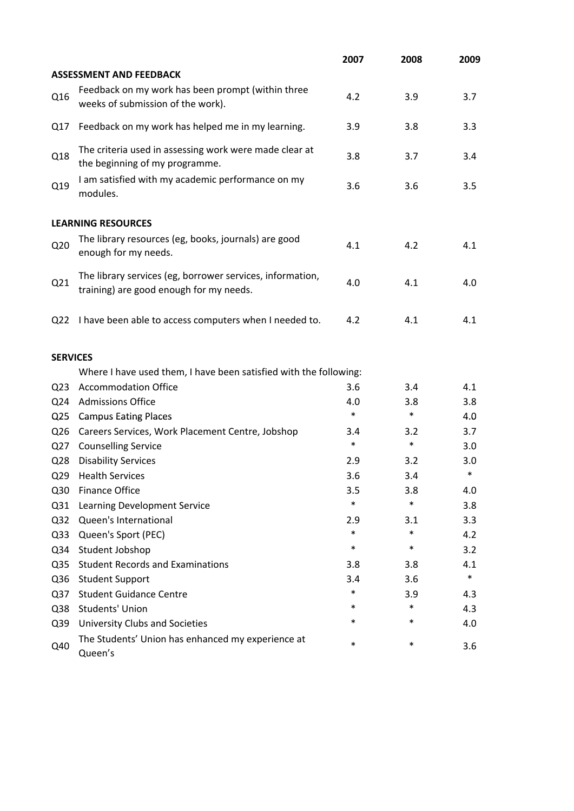|                 |                                                                                                      | 2007   | 2008   | 2009   |
|-----------------|------------------------------------------------------------------------------------------------------|--------|--------|--------|
|                 | <b>ASSESSMENT AND FEEDBACK</b>                                                                       |        |        |        |
| Q16             | Feedback on my work has been prompt (within three<br>weeks of submission of the work).               | 4.2    | 3.9    | 3.7    |
| Q17             | Feedback on my work has helped me in my learning.                                                    | 3.9    | 3.8    | 3.3    |
| Q18             | The criteria used in assessing work were made clear at<br>the beginning of my programme.             | 3.8    | 3.7    | 3.4    |
| Q19             | I am satisfied with my academic performance on my<br>modules.                                        | 3.6    | 3.6    | 3.5    |
|                 | <b>LEARNING RESOURCES</b>                                                                            |        |        |        |
| Q <sub>20</sub> | The library resources (eg, books, journals) are good<br>enough for my needs.                         | 4.1    | 4.2    | 4.1    |
| Q21             | The library services (eg, borrower services, information,<br>training) are good enough for my needs. | 4.0    | 4.1    | 4.0    |
| Q <sub>22</sub> | I have been able to access computers when I needed to.                                               | 4.2    | 4.1    | 4.1    |
| <b>SERVICES</b> |                                                                                                      |        |        |        |
|                 | Where I have used them, I have been satisfied with the following:                                    |        |        |        |
| Q <sub>23</sub> | <b>Accommodation Office</b>                                                                          | 3.6    | 3.4    | 4.1    |
| Q <sub>24</sub> | <b>Admissions Office</b>                                                                             | 4.0    | 3.8    | 3.8    |
| Q <sub>25</sub> | <b>Campus Eating Places</b>                                                                          | $\ast$ | $\ast$ | 4.0    |
| Q <sub>26</sub> | Careers Services, Work Placement Centre, Jobshop                                                     | 3.4    | 3.2    | 3.7    |
| Q27             | <b>Counselling Service</b>                                                                           | $\ast$ | $\ast$ | 3.0    |
| Q <sub>28</sub> | <b>Disability Services</b>                                                                           | 2.9    | 3.2    | 3.0    |
| Q <sub>29</sub> | <b>Health Services</b>                                                                               | 3.6    | 3.4    | $\ast$ |
| Q30             | <b>Finance Office</b>                                                                                | 3.5    | 3.8    | 4.0    |
| Q31             | Learning Development Service                                                                         | $\ast$ | $\ast$ | 3.8    |
| Q <sub>32</sub> | Queen's International                                                                                | 2.9    | 3.1    | 3.3    |
| Q <sub>33</sub> | Queen's Sport (PEC)                                                                                  | $\ast$ | $\ast$ | 4.2    |
| Q34             | Student Jobshop                                                                                      | $\ast$ | $\ast$ | 3.2    |
| Q <sub>35</sub> | <b>Student Records and Examinations</b>                                                              | 3.8    | 3.8    | 4.1    |
| Q36             | <b>Student Support</b>                                                                               | 3.4    | 3.6    | $\ast$ |
| Q <sub>37</sub> | <b>Student Guidance Centre</b>                                                                       | *      | 3.9    | 4.3    |
| Q38             | <b>Students' Union</b>                                                                               | *      | $\ast$ | 4.3    |
| Q39             | University Clubs and Societies                                                                       | *      | $\ast$ | 4.0    |
| Q40             | The Students' Union has enhanced my experience at<br>Queen's                                         | *      | $\ast$ | 3.6    |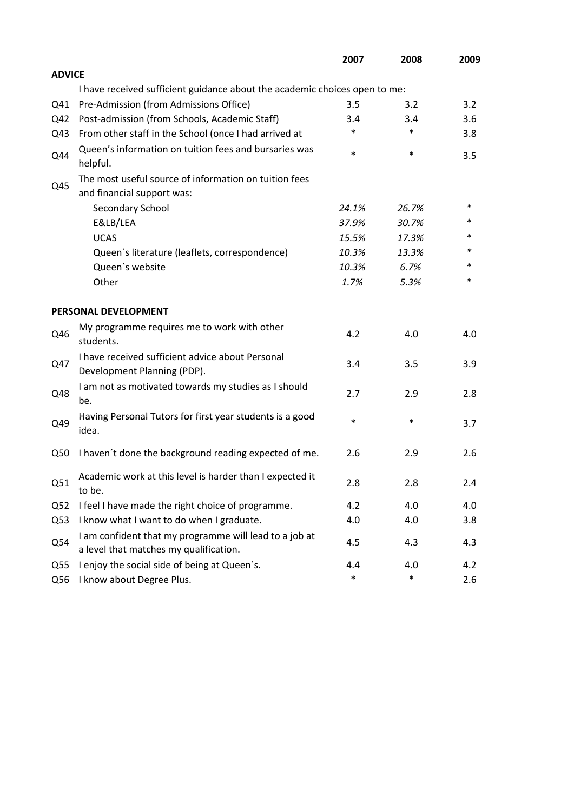|                 |                                                                                                  | 2007   | 2008   | 2009    |
|-----------------|--------------------------------------------------------------------------------------------------|--------|--------|---------|
| <b>ADVICE</b>   |                                                                                                  |        |        |         |
|                 | I have received sufficient guidance about the academic choices open to me:                       |        |        |         |
| Q41             | Pre-Admission (from Admissions Office)                                                           | 3.5    | 3.2    | 3.2     |
| Q42             | Post-admission (from Schools, Academic Staff)                                                    | 3.4    | 3.4    | 3.6     |
| Q43             | From other staff in the School (once I had arrived at                                            | *      | $\ast$ | 3.8     |
| Q44             | Queen's information on tuition fees and bursaries was<br>helpful.                                | $\ast$ | $\ast$ | 3.5     |
|                 | The most useful source of information on tuition fees                                            |        |        |         |
| Q45             | and financial support was:                                                                       |        |        |         |
|                 | Secondary School                                                                                 | 24.1%  | 26.7%  | ∗       |
|                 | E&LB/LEA                                                                                         | 37.9%  | 30.7%  | *       |
|                 | <b>UCAS</b>                                                                                      | 15.5%  | 17.3%  |         |
|                 | Queen's literature (leaflets, correspondence)                                                    | 10.3%  | 13.3%  | *       |
|                 | Queen's website                                                                                  | 10.3%  | 6.7%   | *       |
|                 | Other                                                                                            | 1.7%   | 5.3%   | *       |
|                 | PERSONAL DEVELOPMENT                                                                             |        |        |         |
| Q46             | My programme requires me to work with other<br>students.                                         | 4.2    | 4.0    | 4.0     |
| Q47             | I have received sufficient advice about Personal<br>Development Planning (PDP).                  | 3.4    | 3.5    | 3.9     |
| Q48             | I am not as motivated towards my studies as I should<br>be.                                      | 2.7    | 2.9    | 2.8     |
| Q49             | Having Personal Tutors for first year students is a good<br>idea.                                | $\ast$ | $\ast$ | 3.7     |
| Q50             | I haven't done the background reading expected of me.                                            | 2.6    | 2.9    | 2.6     |
| Q51             | Academic work at this level is harder than I expected it<br>to be.                               | 2.8    | 2.8    | $2.4\,$ |
| Q <sub>52</sub> | I feel I have made the right choice of programme.                                                | 4.2    | 4.0    | 4.0     |
| Q53             | I know what I want to do when I graduate.                                                        | 4.0    | 4.0    | 3.8     |
| Q54             | I am confident that my programme will lead to a job at<br>a level that matches my qualification. | 4.5    | 4.3    | 4.3     |
| Q <sub>55</sub> | I enjoy the social side of being at Queen's.                                                     | 4.4    | 4.0    | 4.2     |
| Q56             | I know about Degree Plus.                                                                        | $\ast$ | $\ast$ | 2.6     |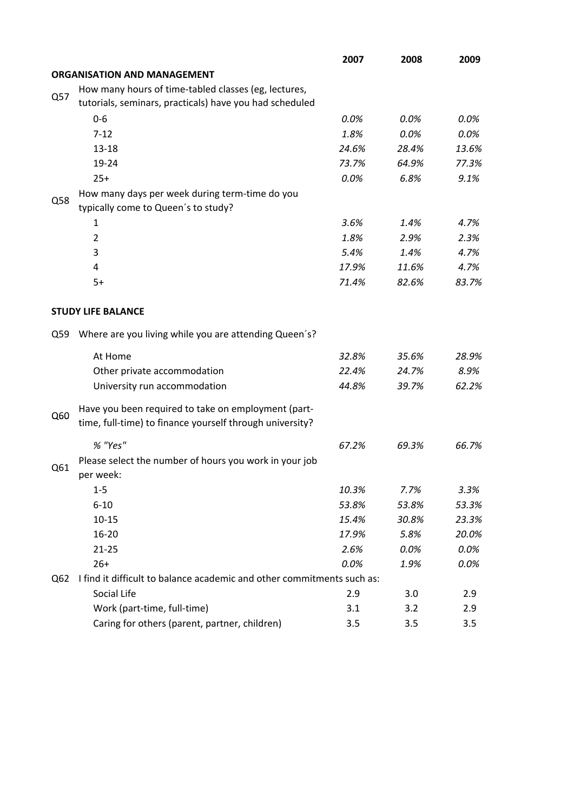|     |                                                                        | 2007    | 2008  | 2009  |
|-----|------------------------------------------------------------------------|---------|-------|-------|
|     | <b>ORGANISATION AND MANAGEMENT</b>                                     |         |       |       |
|     | How many hours of time-tabled classes (eg, lectures,                   |         |       |       |
| Q57 | tutorials, seminars, practicals) have you had scheduled                |         |       |       |
|     | $0-6$                                                                  | 0.0%    | 0.0%  | 0.0%  |
|     | $7 - 12$                                                               | 1.8%    | 0.0%  | 0.0%  |
|     | $13 - 18$                                                              | 24.6%   | 28.4% | 13.6% |
|     | 19-24                                                                  | 73.7%   | 64.9% | 77.3% |
|     | $25+$                                                                  | $0.0\%$ | 6.8%  | 9.1%  |
|     | How many days per week during term-time do you                         |         |       |       |
| Q58 | typically come to Queen's to study?                                    |         |       |       |
|     | 1                                                                      | 3.6%    | 1.4%  | 4.7%  |
|     | $\overline{2}$                                                         | 1.8%    | 2.9%  | 2.3%  |
|     | 3                                                                      | 5.4%    | 1.4%  | 4.7%  |
|     | 4                                                                      | 17.9%   | 11.6% | 4.7%  |
|     | $5+$                                                                   | 71.4%   | 82.6% | 83.7% |
|     |                                                                        |         |       |       |
|     | <b>STUDY LIFE BALANCE</b>                                              |         |       |       |
| Q59 | Where are you living while you are attending Queen's?                  |         |       |       |
|     | At Home                                                                | 32.8%   | 35.6% | 28.9% |
|     | Other private accommodation                                            | 22.4%   | 24.7% | 8.9%  |
|     | University run accommodation                                           | 44.8%   | 39.7% | 62.2% |
|     | Have you been required to take on employment (part-                    |         |       |       |
| Q60 | time, full-time) to finance yourself through university?               |         |       |       |
|     | % "Yes"                                                                | 67.2%   | 69.3% | 66.7% |
| Q61 | Please select the number of hours you work in your job                 |         |       |       |
|     | per week:                                                              |         |       |       |
|     | $1 - 5$                                                                | 10.3%   | 7.7%  | 3.3%  |
|     | $6 - 10$                                                               | 53.8%   | 53.8% | 53.3% |
|     | $10 - 15$                                                              | 15.4%   | 30.8% | 23.3% |
|     | $16 - 20$                                                              | 17.9%   | 5.8%  | 20.0% |
|     | $21 - 25$                                                              | 2.6%    | 0.0%  | 0.0%  |
|     | $26+$                                                                  | 0.0%    | 1.9%  | 0.0%  |
| Q62 | I find it difficult to balance academic and other commitments such as: |         |       |       |
|     | Social Life                                                            | 2.9     | 3.0   | 2.9   |
|     | Work (part-time, full-time)                                            | 3.1     | 3.2   | 2.9   |
|     | Caring for others (parent, partner, children)                          | 3.5     | 3.5   | 3.5   |